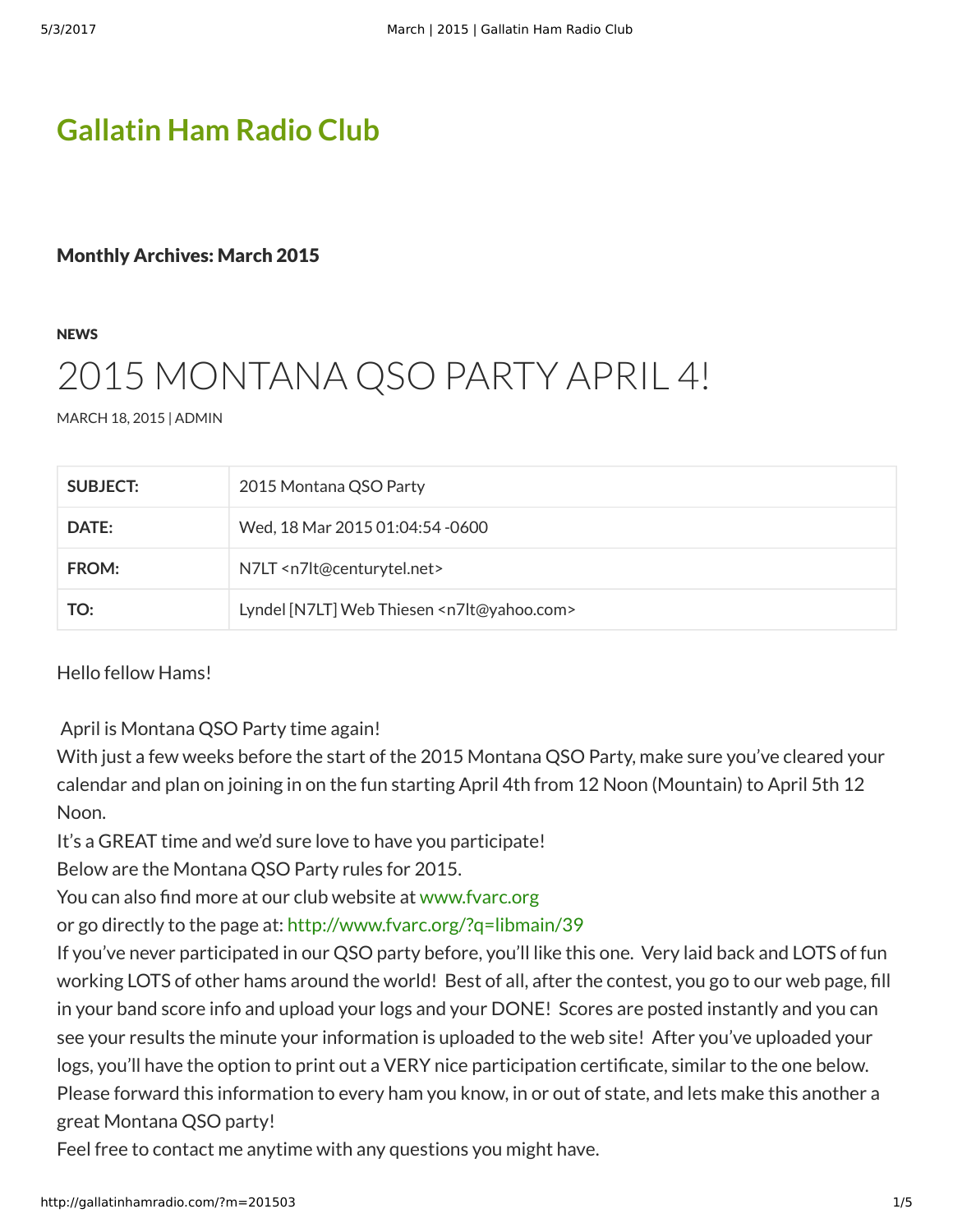## **[Gallatin Ham Radio Club](http://gallatinhamradio.com/)**

### Monthly Archives: March 2015

**[NEWS](http://gallatinhamradio.com/?cat=3)** 

# [2015 MONTANA QSO](http://gallatinhamradio.com/?p=162) PARTY APRIL 4!

[MARCH 18, 2015](http://gallatinhamradio.com/?p=162) | [ADMIN](http://gallatinhamradio.com/?author=1)

| <b>SUBJECT:</b> | 2015 Montana QSO Party                                      |
|-----------------|-------------------------------------------------------------|
| DATE:           | Wed, 18 Mar 2015 01:04:54 -0600                             |
| FROM:           | N7LT <n7lt@centurytel.net></n7lt@centurytel.net>            |
| TO:             | Lyndel [N7LT] Web Thiesen <n7lt@yahoo.com></n7lt@yahoo.com> |

Hello fellow Hams!

April is Montana QSO Party time again!

With just a few weeks before the start of the 2015 Montana QSO Party, make sure you've cleared your calendar and plan on joining in on the fun starting April 4th from 12 Noon (Mountain) to April 5th 12 Noon.

It's a GREAT time and we'd sure love to have you participate!

Below are the Montana QSO Party rules for 2015.

You can also find more at our club website at [www.fvarc.org](http://www.fvarc.org/)

or go directly to the page at:<http://www.fvarc.org/?q=libmain/39>

If you've never participated in our QSO party before, you'll like this one. Very laid back and LOTS of fun working LOTS of other hams around the world! Best of all, after the contest, you go to our web page, fill in your band score info and upload your logs and your DONE! Scores are posted instantly and you can see your results the minute your information is uploaded to the web site! After you've uploaded your logs, you'll have the option to print out a VERY nice participation certificate, similar to the one below. Please forward this information to every ham you know, in or out of state, and lets make this another a great Montana QSO party!

Feel free to contact me anytime with any questions you might have.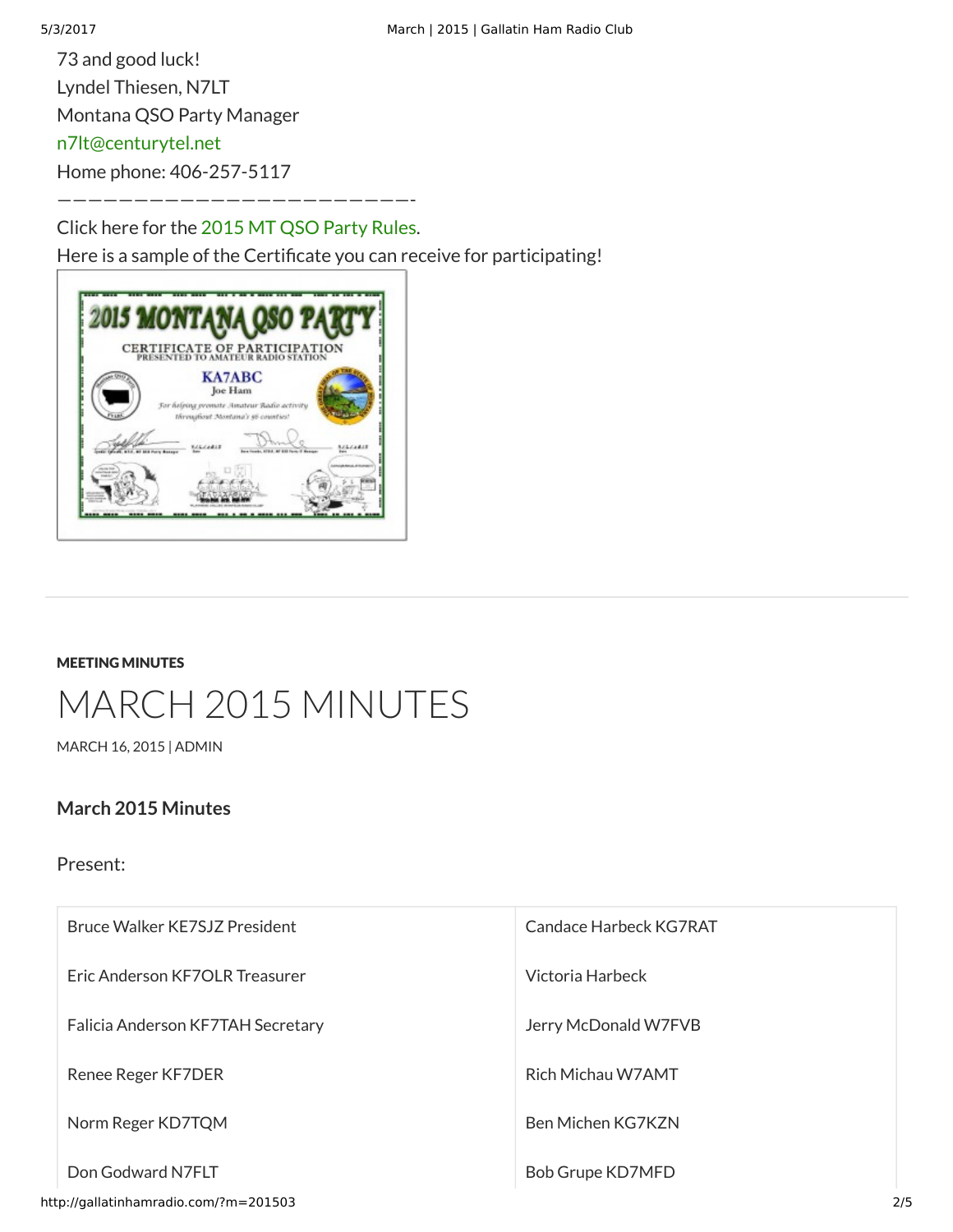73 and good luck! Lyndel Thiesen, N7LT Montana QSO Party Manager [n7lt@centurytel.net](mailto:n7lt@centurytel.net) Home phone: 406-257-5117

———————————————————————- Click here for the [2015 MT QSO Party Rules.](http://gallatinhamradio.com/?attachment_id=164)

Here is a sample of the Certificate you can receive for participating!



#### [MEETING MINUTES](http://gallatinhamradio.com/?cat=2)

# [MARCH 2015 MINUTES](http://gallatinhamradio.com/?p=12)

[MARCH 16, 2015](http://gallatinhamradio.com/?p=12) | [ADMIN](http://gallatinhamradio.com/?author=1)

### **March 2015 Minutes**

Present:

| Bruce Walker KE7SJZ President         | Candace Harbeck KG7RAT |  |
|---------------------------------------|------------------------|--|
| Eric Anderson KF7OLR Treasurer        | Victoria Harbeck       |  |
| Falicia Anderson KF7TAH Secretary     | Jerry McDonald W7FVB   |  |
| Renee Reger KF7DER                    | Rich Michau W7AMT      |  |
| Norm Reger KD7TQM                     | Ben Michen KG7KZN      |  |
| Don Godward N7FLT                     | Bob Grupe KD7MFD       |  |
| http://gallatinhamradio.com/?m=201503 |                        |  |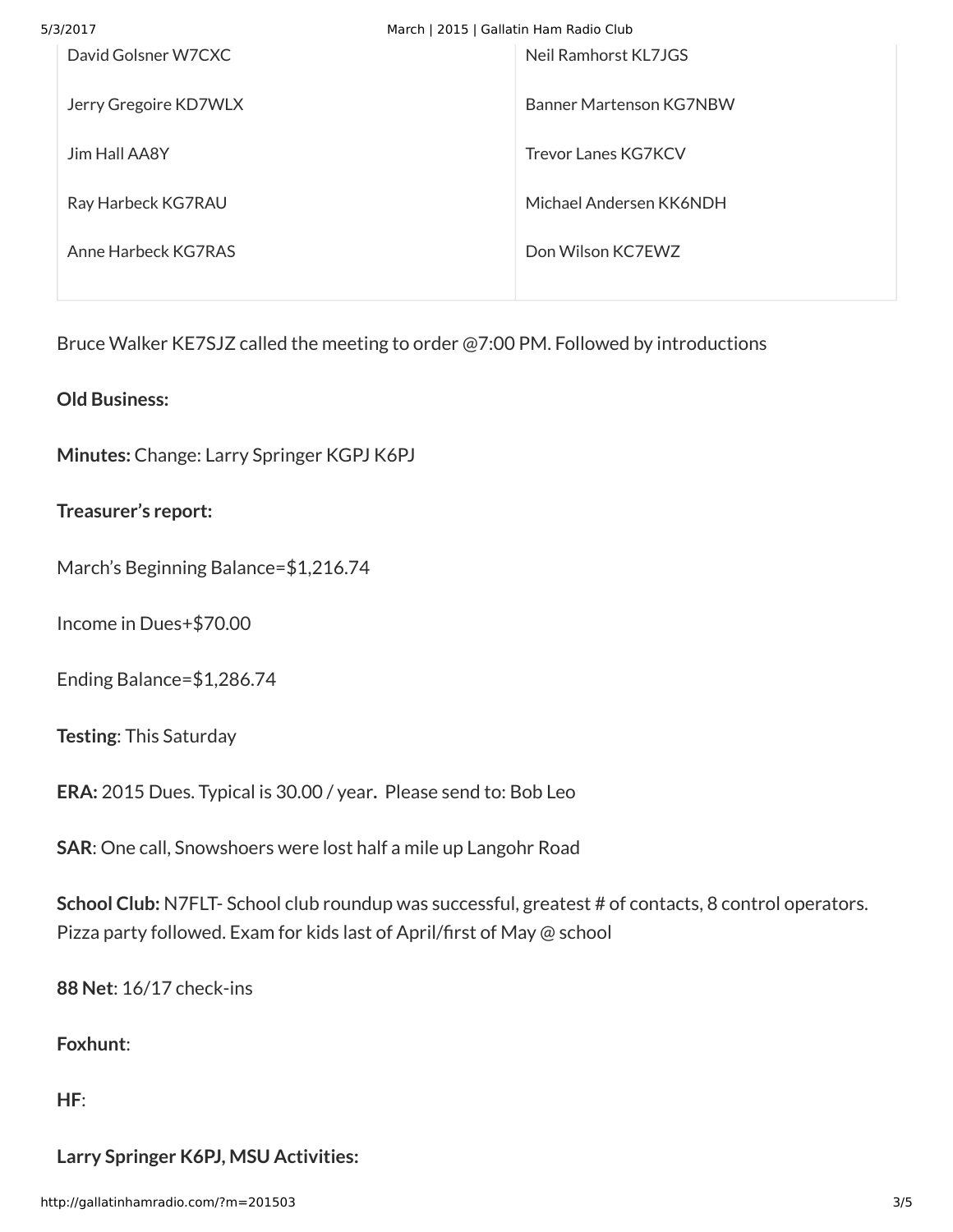| 5/3/2017              | March   2015   Gallatin Ham Radio Club |  |
|-----------------------|----------------------------------------|--|
| David Golsner W7CXC   | Neil Ramhorst KL7JGS                   |  |
| Jerry Gregoire KD7WLX | Banner Martenson KG7NBW                |  |
| <b>Jim Hall AA8Y</b>  | <b>Trevor Lanes KG7KCV</b>             |  |
| Ray Harbeck KG7RAU    | Michael Andersen KK6NDH                |  |
| Anne Harbeck KG7RAS   | Don Wilson KC7EWZ                      |  |
|                       |                                        |  |

Bruce Walker KE7SJZ called the meeting to order @7:00 PM. Followed by introductions

**Old Business:**

**Minutes:** Change: Larry Springer KGPJ K6PJ

**Treasurer's report:**

March's Beginning Balance=\$1,216.74

Income in Dues+\$70.00

Ending Balance=\$1,286.74

**Testing**: This Saturday

**ERA:** 2015 Dues. Typical is 30.00 / year**.** Please send to: Bob Leo

**SAR**: One call, Snowshoers were lost half a mile up Langohr Road

School Club: N7FLT- School club roundup was successful, greatest # of contacts, 8 control operators. Pizza party followed. Exam for kids last of April/first of May @ school

**88 Net**: 16/17 check-ins

**Foxhunt**:

**HF**:

**Larry Springer K6PJ, MSU Activities:**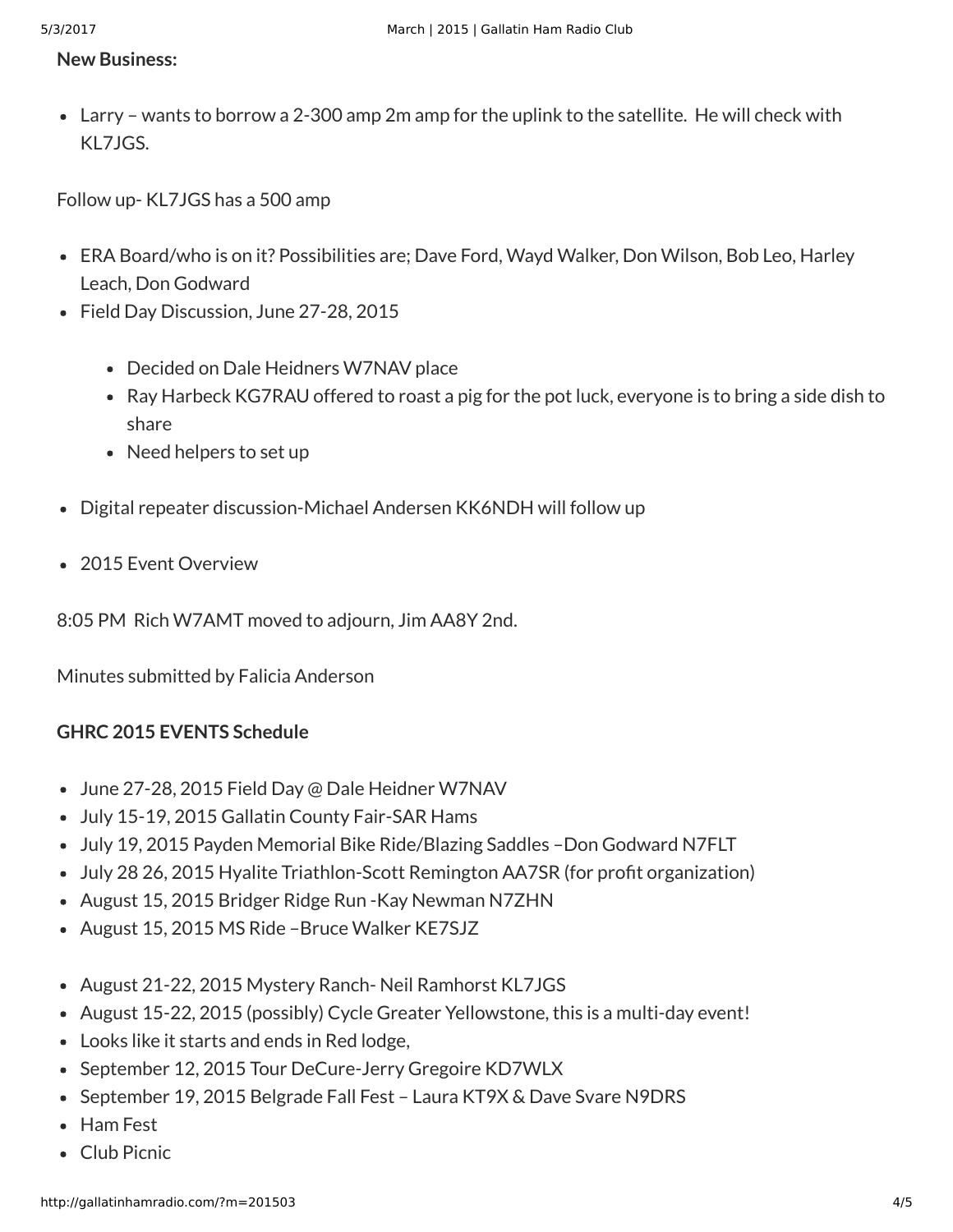#### **New Business:**

Larry – wants to borrow a 2-300 amp 2m amp for the uplink to the satellite. He will check with KL7JGS.

Follow up- KL7JGS has a 500 amp

- ERA Board/who is on it? Possibilities are; Dave Ford, Wayd Walker, Don Wilson, Bob Leo, Harley Leach, Don Godward
- Field Day Discussion, June 27-28, 2015
	- Decided on Dale Heidners W7NAV place
	- Ray Harbeck KG7RAU offered to roast a pig for the pot luck, everyone is to bring a side dish to share
	- Need helpers to set up
- Digital repeater discussion-Michael Andersen KK6NDH will follow up
- 2015 Fyent Overview

8:05 PM Rich W7AMT moved to adjourn, Jim AA8Y 2nd.

Minutes submitted by Falicia Anderson

### **GHRC 2015 EVENTS Schedule**

- June 27-28, 2015 Field Day @ Dale Heidner W7NAV
- July 15-19, 2015 Gallatin County Fair-SAR Hams
- July 19, 2015 Payden Memorial Bike Ride/Blazing Saddles –Don Godward N7FLT
- July 28 26, 2015 Hyalite Triathlon-Scott Remington AA7SR (for profit organization)
- August 15, 2015 Bridger Ridge Run -Kay Newman N7ZHN
- August 15, 2015 MS Ride –Bruce Walker KE7SJZ
- August 21-22, 2015 Mystery Ranch- Neil Ramhorst KL7JGS
- August 15-22, 2015 (possibly) Cycle Greater Yellowstone, this is a multi-day event!
- Looks like it starts and ends in Red lodge,
- September 12, 2015 Tour DeCure-Jerry Gregoire KD7WLX
- September 19, 2015 Belgrade Fall Fest Laura KT9X & Dave Svare N9DRS
- Ham Fest
- Club Picnic